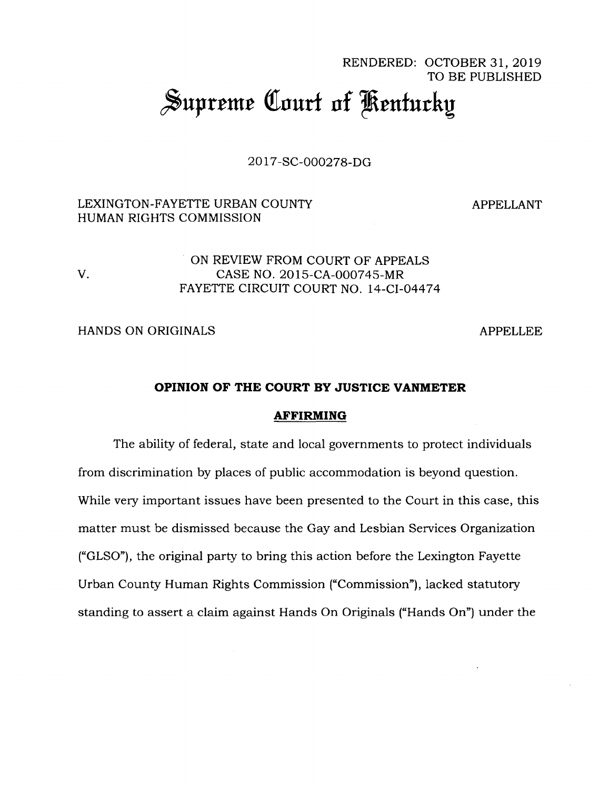# RENDERED: OCTOBER 31, 2019 TO BE PUBLISHED Supreme Court of Kentucky

2017-SC-000278-DG

# LEXINGTON-FAYETTE URBAN COUNTY APPELLANT HUMAN RIGHTS COMMISSION

ON REVIEW FROM COURT OF APPEALS V. CASE NO. 2015-CA-000745-MR FAYETTE CIRCUIT COURT NO. 14-CI-04474

HANDS ON ORIGINALS APPELLEE

## **OPINION OF THE COURT BY JUSTICE VANMETER**

#### **AFFIRMING**

The ability of federal, state and local governments to protect individuals from discrimination by places of public accommodation is beyond question. While very important issues have been presented to the Court in this case, this matter must be dismissed because the Gay and Lesbian Services Organization ("GLSO"), the original party to bring this action before the Lexington Fayette Urban County Human Rights Commission ("Commission"), lacked statutory standing to assert a claim against Hands On Originals ("Hands On") under the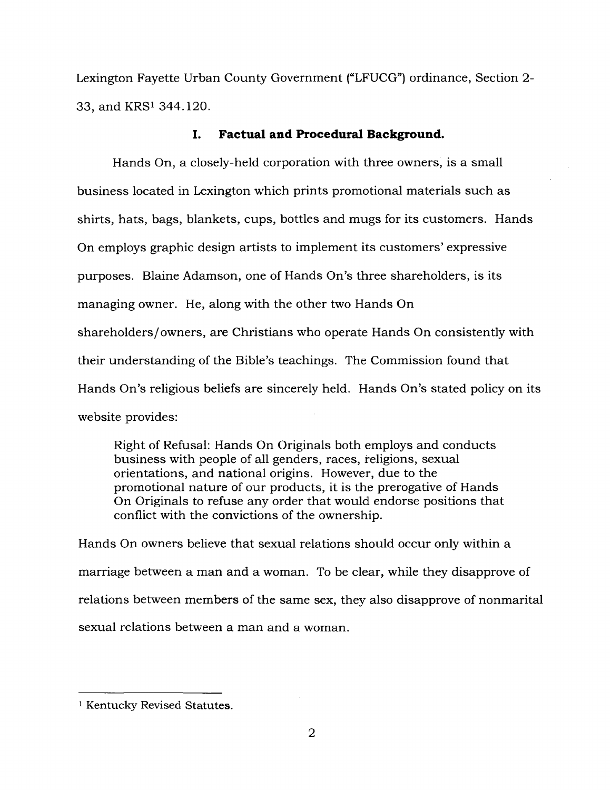Lexington Fayette Urban County Government ("LFUCG") ordinance, Section 2- 33, and KRS<sup>1</sup> 344.120.

## **I. Factual and Procedural Background.**

Hands On, a closely-held corporation with three owners, is a small business located in Lexington which prints promotional materials such as shirts, hats, bags, blankets, cups, bottles and mugs for its customers. Hands On employs graphic design artists to implement its customers' expressive purposes. Blaine Adamson, one of Hands On's three shareholders, is its managing owner. He, along with the other two Hands On shareholders/owners, are Christians who operate Hands On consistently with their understanding of the Bible's teachings. The Commission found that Hands On's religious beliefs are sincerely held. Hands On's stated policy on its website provides:

Right of Refusal: Hands On Originals both employs and conducts business with people of all genders, races, religions, sexual orientations, and national origins. However, due to the promotional nature of our products, it is the prerogative of Hands On Originals to refuse any order that would endorse positions that conflict with the convictions of the ownership.

Hands On owners believe that sexual relations should occur only within a marriage between a man and a woman. To be clear, while they disapprove of relations between members of the same sex, they also disapprove of nonmarital sexual relations between a man and a woman.

<sup>1</sup> Kentucky Revised Statutes.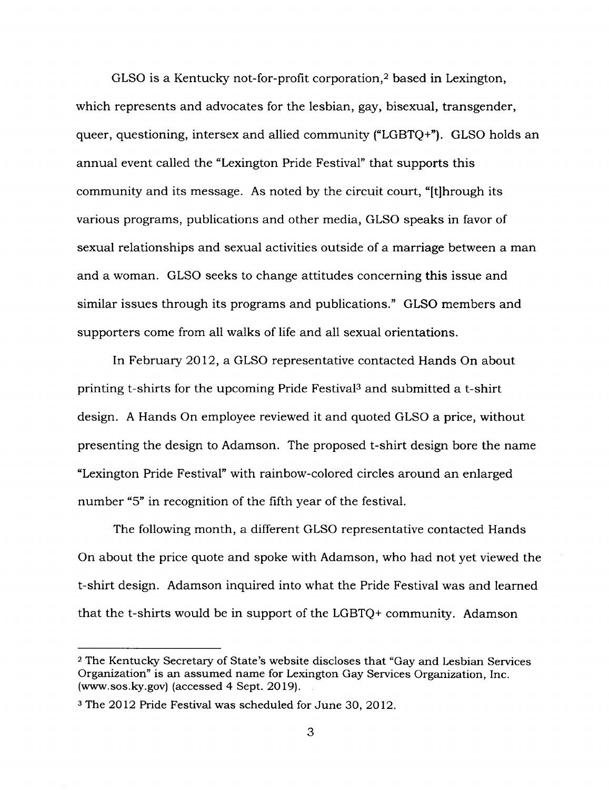GLSO is a Kentucky not-for-profit corporation,<sup>2</sup> based in Lexington, which represents and advocates for the lesbian, gay, bisexual, transgender, queer, questioning, intersex and allied community ("LGBTQ+"). GLSO holds an annual event called the "Lexington Pride Festival" that supports this community and its message. As noted by the circuit court, "[t]hrough its various programs, publications and other media, GLSO speaks in favor of sexual relationships and sexual activities outside of a marriage between a man and a woman. GLSO seeks to change attitudes concerning this issue and similar issues through its programs and publications." GLSO members and supporters come from all walks of life and all sexual orientations.

In February 2012, a GLSO representative contacted Hands On about printing t-shirts for the upcoming Pride Festival<sup>3</sup> and submitted a t-shirt design. A Hands On employee reviewed it and quoted GLSO a price, without presenting the design to Adamson. The proposed t-shirt design bore the name "Lexington Pride Festival" with rainbow-colored circles around an enlarged number "5" in recognition of the fifth year of the festival.

The following month, a different GLSO representative contacted Hands On about the price quote and spoke with Adamson, who had not yet viewed the t-shirt design. Adamson inquired into what the Pride Festival was and learned that the t-shirts would be in support of the LGBTQ+ community. Adamson

<sup>2</sup> The Kentucky Secretary of State's website discloses that "Gay and Lesbian Services Organization" is an assumed name for Lexington Gay Services Organization, Inc. ([www.sos.ky.gov](http://www.sos.ky.gov)) (accessed 4 Sept. 2019).

<sup>3</sup> The 2012 Pride Festival was scheduled for June 30, 2012.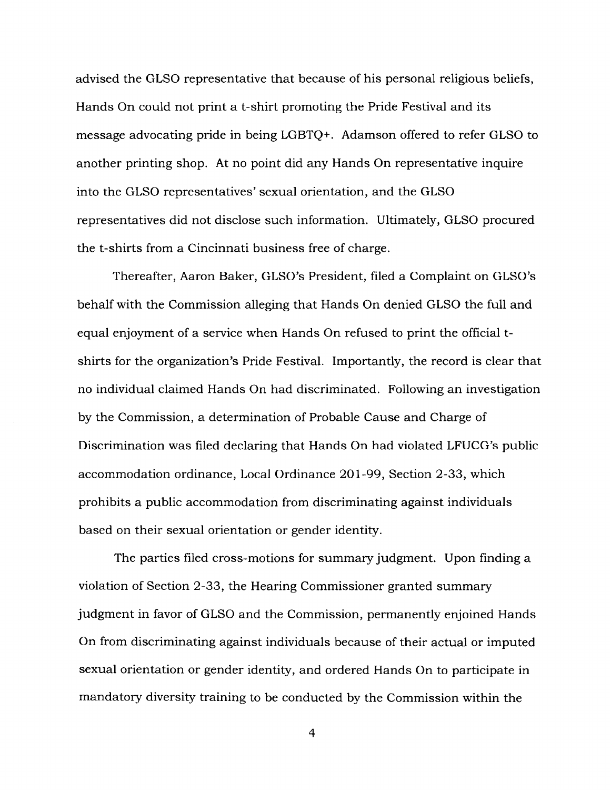advised the GLSO representative that because of his personal religious beliefs, Hands On could not print a t-shirt promoting the Pride Festival and its message advocating pride in being LGBTQ+. Adamson offered to refer GLSO to another printing shop. At no point did any Hands On representative inquire into the GLSO representatives' sexual orientation, and the GLSO representatives did not disclose such information. Ultimately, GLSO procured the t-shirts from a Cincinnati business free of charge.

Thereafter, Aaron Baker, GLSO's President, filed a Complaint on GLSO's behalf with the Commission alleging that Hands On denied GLSO the full and equal enjoyment of a service when Hands On refused to print the official tshirts for the organization's Pride Festival. Importantly, the record is clear that no individual claimed Hands On had discriminated. Following an investigation by the Commission, a determination of Probable Cause and Charge of Discrimination was filed declaring that Hands On had violated LFUCG's public accommodation ordinance, Local Ordinance 201-99, Section 2-33, which prohibits a public accommodation from discriminating against individuals based on their sexual orientation or gender identity.

The parties filed cross-motions for summary judgment. Upon finding a violation of Section 2-33, the Hearing Commissioner granted summary judgment in favor of GLSO and the Commission, permanently enjoined Hands On from discriminating against individuals because of their actual or imputed sexual orientation or gender identity, and ordered Hands On to participate in mandatory diversity training to be conducted by the Commission within the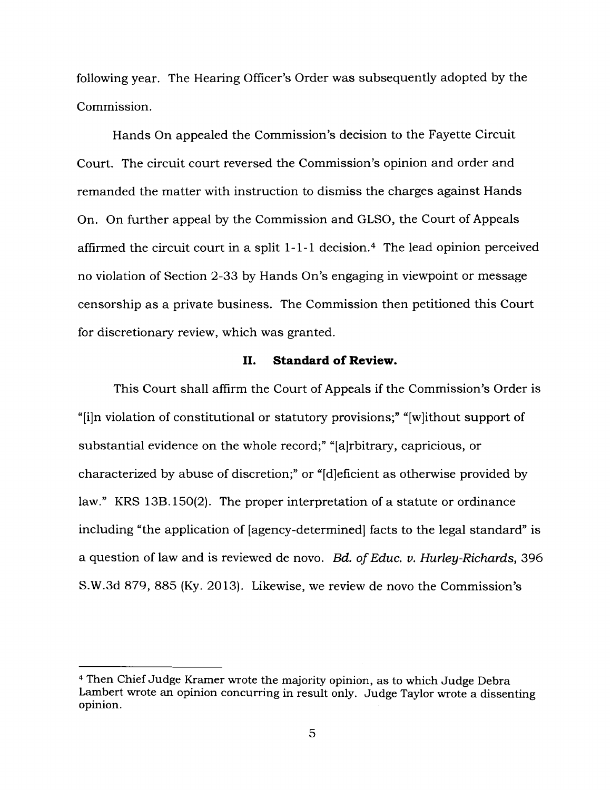following year. The Hearing Officer's Order was subsequently adopted by the Commission.

Hands On appealed the Commission's decision to the Fayette Circuit Court. The circuit court reversed the Commission's opinion and order and remanded the matter with instruction to dismiss the charges against Hands On. On further appeal by the Commission and GLSO, the Court of Appeals affirmed the circuit court in a split 1-1-1 decision.<sup>4</sup> The lead opinion perceived no violation of Section 2-33 by Hands On's engaging in viewpoint or message censorship as a private business. The Commission then petitioned this Court for discretionary review, which was granted.

## **II. Standard of Review.**

This Court shall affirm the Court of Appeals if the Commission's Order is "[i]n violation of constitutional or statutory provisions;" "[w]ithout support of substantial evidence on the whole record;" "[a]rbitrary, capricious, or characterized by abuse of discretion;" or "[d]eficient as otherwise provided by law." KRS 13B. 150(2). The proper interpretation of a statute or ordinance including "the application of [agency-determined] facts to the legal standard" is a question of law and is reviewed de novo. *Bd. ofEduc. v. Hurley-Richards,* 396 S.W.3d 879, 885 (Ky. 2013). Likewise, we review de novo the Commission's

<sup>4</sup> Then Chief Judge Kramer wrote the majority opinion, as to which Judge Debra Lambert wrote an opinion concurring in result only. Judge Taylor wrote a dissenting opinion.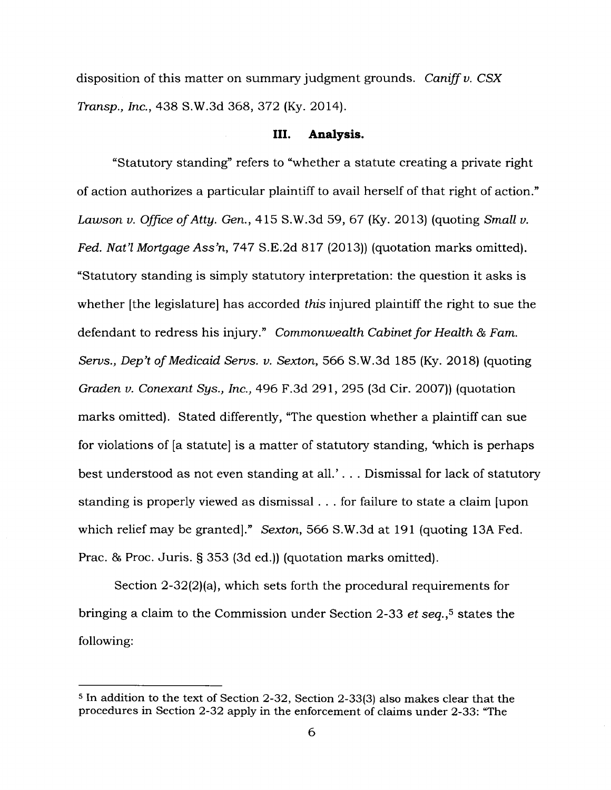disposition of this matter on summary judgment grounds. *Caniff v. CSX Transp., Inc.,* 438 S.W.3d 368, 372 (Ky. 2014).

#### **III. Analysis.**

"Statutory standing" refers to "whether a statute creating a private right of action authorizes a particular plaintiff to avail herself of that right of action." *Lawson v. Office ofAtty. Gen.,* 415 S.W.3d 59, 67 (Ky. 2013) (quoting *Small v. Fed. Nat'l Mortgage Ass'n,* 747 S.E.2d 817 (2013)) (quotation marks omitted). "Statutory standing is simply statutory interpretation: the question it asks is whether [the legislature] has accorded *this* injured plaintiff the right to sue the defendant to redress his injury." *Commonwealth Cabinetfor Health & Fam. Servs., Dep't ofMedicaid Servs. v. Sexton,* 566 S.W.3d 185 (Ky. 2018) (quoting *Graden v. Conexant Sys., Inc.,* 496 F.3d 291, 295 (3d Cir. 2007)) (quotation marks omitted). Stated differently, "The question whether a plaintiff can sue for violations of [a statute] is a matter of statutory standing, 'which is perhaps best understood as not even standing at all.'. . . Dismissal for lack of statutory standing is properly viewed as dismissal . . . for failure to state a claim [upon which relief may be granted]." *Sexton,* 566 S.W.3d at 191 (quoting 13A Fed. Prac. <sup>86</sup> Proc. Juris. § 353 (3d ed.)) (quotation marks omitted).

Section 2-32(2)(a), which sets forth the procedural requirements for bringing a claim to the Commission under Section 2-33 *et seq.,<sup>5</sup>* states the following:

<sup>5</sup> In addition to the text of Section 2-32, Section 2-33(3) also makes clear that the procedures in Section 2-32 apply in the enforcement of claims under 2-33: "The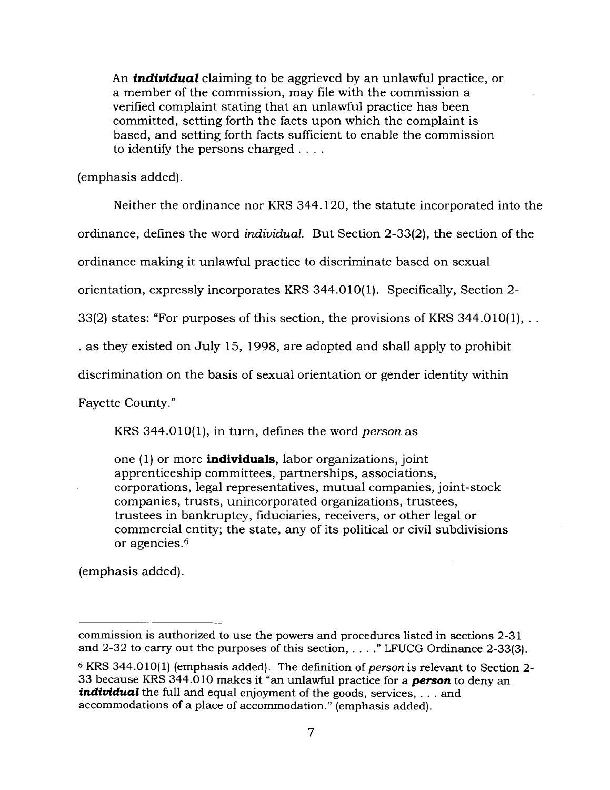An *individual* claiming to be aggrieved by an unlawful practice, or a member of the commission, may file with the commission a verified complaint stating that an unlawful practice has been committed, setting forth the facts upon which the complaint is based, and setting forth facts sufficient to enable the commission to identify the persons charged ....

(emphasis added).

Neither the ordinance nor KRS 344.120, the statute incorporated into the

ordinance, defines the word *individual.* But Section 2-33(2), the section of the

ordinance making it unlawful practice to discriminate based on sexual

orientation, expressly incorporates KRS 344.010(1). Specifically, Section 2-

33(2) states: "For purposes of this section, the provisions of KRS 344.010(1), . .

. as they existed on July 15, 1998, are adopted and shall apply to prohibit

discrimination on the basis of sexual orientation or gender identity within

Fayette County."

KRS 344.010(1), in turn, defines the word *person* as

one (1) or more **individuals,** labor organizations, joint apprenticeship committees, partnerships, associations, corporations, legal representatives, mutual companies, joint-stock companies, trusts, unincorporated organizations, trustees, trustees in bankruptcy, fiduciaries, receivers, or other legal or commercial entity; the state, any of its political or civil subdivisions or agencies.<sup>6</sup>

(emphasis added).

commission is authorized to use the powers and procedures listed in sections 2-31 and 2-32 to carry out the purposes of this section, . . . ." LFUCG Ordinance 2-33(3).

<sup>6</sup> KRS 344.010(1) (emphasis added). The definition of *person* is relevant to Section 2- 33 because KRS 344.010 makes it "an unlawful practice for a *person* to deny an *individual* the full and equal enjoyment of the goods, services, . . . and accommodations of a place of accommodation." (emphasis added).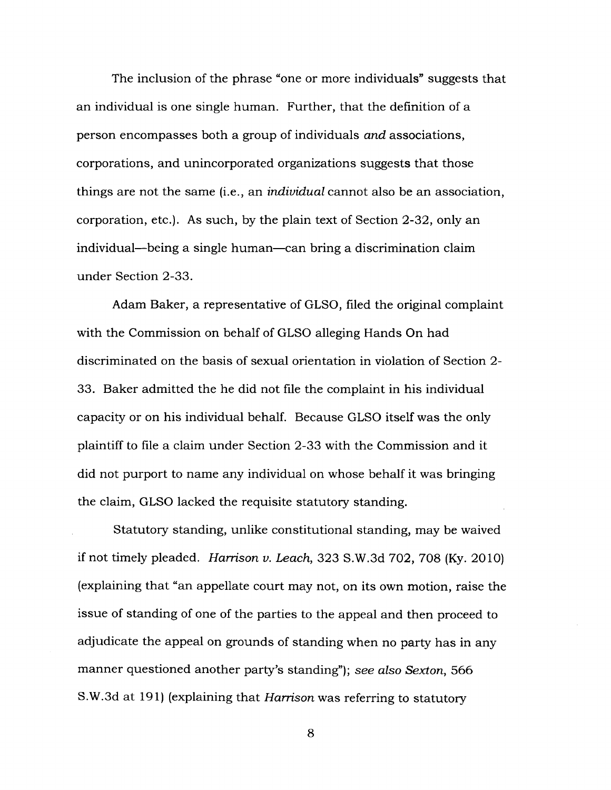The inclusion of the phrase "one or more individuals" suggests that an individual is one single human. Further, that the definition of a person encompasses both a group of individuals *and* associations, corporations, and unincorporated organizations suggests that those things are not the same (i.e., an *individual* cannot also be an association, corporation, etc.). As such, by the plain text of Section 2-32, only an individual—being a single human—can bring a discrimination claim under Section 2-33.

Adam Baker, a representative of GLSO, filed the original complaint with the Commission on behalf of GLSO alleging Hands On had discriminated on the basis of sexual orientation in violation of Section 2- 33. Baker admitted the he did not file the complaint in his individual capacity or on his individual behalf. Because GLSO itself was the only plaintiff to file a claim under Section 2-33 with the Commission and it did not purport to name any individual on whose behalf it was bringing the claim, GLSO lacked the requisite statutory standing.

Statutory standing, unlike constitutional standing, may be waived if not timely pleaded. *Harrison v. Leach,* 323 S.W.3d 702, 708 (Ky. 2010) (explaining that "an appellate court may not, on its own motion, raise the issue of standing of one of the parties to the appeal and then proceed to adjudicate the appeal on grounds of standing when no party has in any manner questioned another party's standing"); *see also Sexton,* 566 S.W.3d at 191) (explaining that *Harrison* was referring to statutory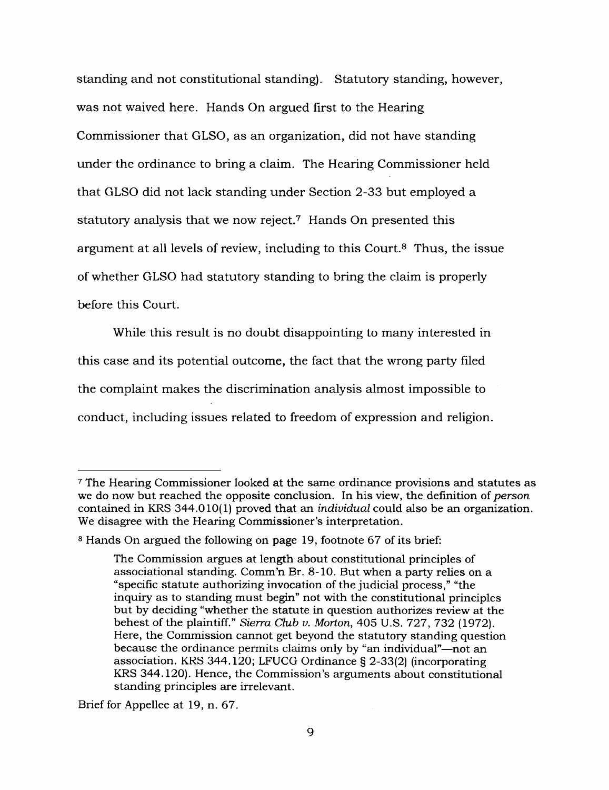standing and not constitutional standing). Statutory standing, however, was not waived here. Hands On argued first to the Hearing Commissioner that GLSO, as an organization, did not have standing under the ordinance to bring a claim. The Hearing Commissioner held that GLSO did not lack standing under Section 2-33 but employed a statutory analysis that we now reject.<sup>7</sup> Hands On presented this argument at all levels of review, including to this Court.<sup>8</sup> Thus, the issue of whether GLSO had statutory standing to bring the claim is properly before this Court.

While this result is no doubt disappointing to many interested in this case and its potential outcome, the fact that the wrong party filed the complaint makes the discrimination analysis almost impossible to conduct, including issues related to freedom of expression and religion.

<sup>7</sup> The Hearing Commissioner looked at the same ordinance provisions and statutes as we do now but reached the opposite conclusion. In his view, the definition of*person* contained in KRS 344.010(1) proved that an *individual* could also be an organization. We disagree with the Hearing Commissioner's interpretation.

<sup>8</sup> Hands On argued the following on page 19, footnote 67 of its brief:

The Commission argues at length about constitutional principles of associational standing. Comm'n Br. 8-10. But when a party relies on a "specific statute authorizing invocation of the judicial process," "the inquiry as to standing must begin" not with the constitutional principles but by deciding "whether the statute in question authorizes review at the behest of the plaintiff." *Sierra Club v. Morton,* 405 U.S. 727, 732 (1972). Here, the Commission cannot get beyond the statutory standing question because the ordinance permits claims only by "an individual"—not an association. KRS 344.120; LFUCG Ordinance § 2-33(2) (incorporating KRS 344.120). Hence, the Commission's arguments about constitutional standing principles are irrelevant.

Brief for Appellee at 19, n. 67.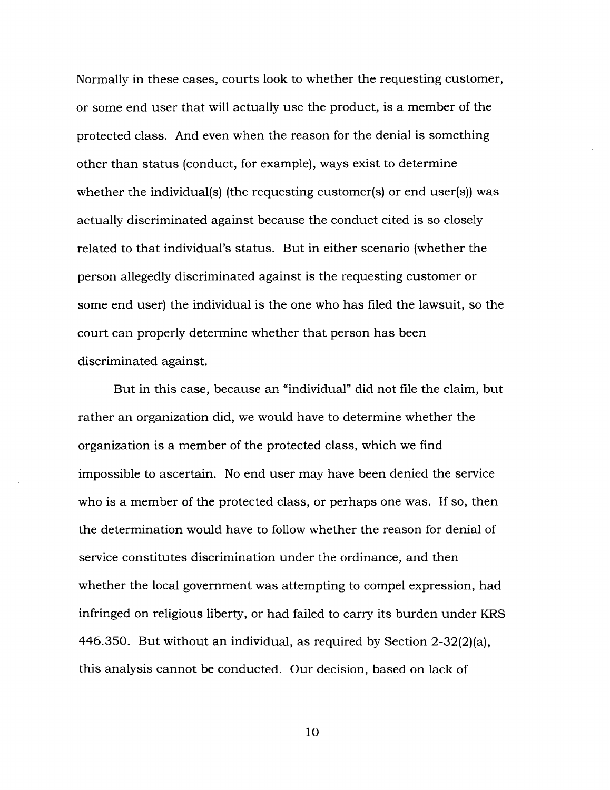Normally in these cases, courts look to whether the requesting customer, or some end user that will actually use the product, is a member of the protected class. And even when the reason for the denial is something other than status (conduct, for example), ways exist to determine whether the individual(s) (the requesting customer(s) or end user(s)) was actually discriminated against because the conduct cited is so closely related to that individual's status. But in either scenario (whether the person allegedly discriminated against is the requesting customer or some end user) the individual is the one who has filed the lawsuit, so the court can properly determine whether that person has been discriminated against.

But in this case, because an "individual" did not file the claim, but rather an organization did, we would have to determine whether the organization is a member of the protected class, which we find impossible to ascertain. No end user may have been denied the service who is a member of the protected class, or perhaps one was. If so, then the determination would have to follow whether the reason for denial of service constitutes discrimination under the ordinance, and then whether the local government was attempting to compel expression, had infringed on religious liberty, or had failed to carry its burden under KRS 446.350. But without an individual, as required by Section 2-32(2)(a), this analysis cannot be conducted. Our decision, based on lack of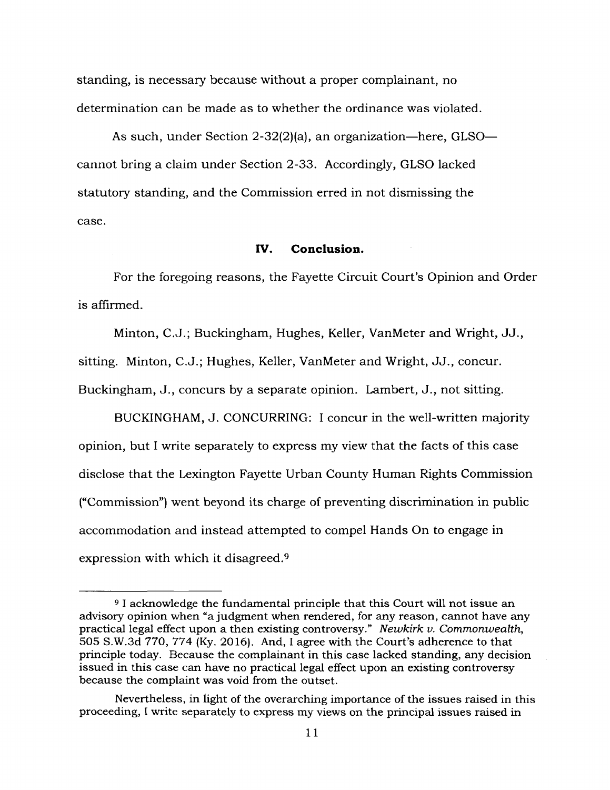standing, is necessary because without a proper complainant, no determination can be made as to whether the ordinance was violated.

As such, under Section 2-32(2)(a), an organization—here, GLSO cannot bring a claim under Section 2-33. Accordingly, GLSO lacked statutory standing, and the Commission erred in not dismissing the case.

## **IV. Conclusion.**

For the foregoing reasons, the Fayette Circuit Court's Opinion and Order is affirmed.

Minton, C.J.; Buckingham, Hughes, Keller, VanMeter and Wright, JJ., sitting. Minton, C.J.; Hughes, Keller, VanMeter and Wright, JJ., concur. Buckingham, J., concurs by a separate opinion. Lambert, J., not sitting.

BUCKINGHAM, J. CONCURRING: I concur in the well-written majority opinion, but I write separately to express my view that the facts of this case disclose that the Lexington Fayette Urban County Human Rights Commission ("Commission") went beyond its charge of preventing discrimination in public accommodation and instead attempted to compel Hands On to engage in expression with which it disagreed.<sup>9</sup>

<sup>9</sup> I acknowledge the fundamental principle that this Court will not issue an advisory opinion when "a judgment when rendered, for any reason, cannot have any practical legal effect upon a then existing controversy." *Newkirk v. Commonwealth,* 505 S.W.3d 770, 774 (Ky. 2016). And, I agree with the Court's adherence to that principle today. Because the complainant in this case lacked standing, any decision issued in this case can have no practical legal effect upon an existing controversy because the complaint was void from the outset.

Nevertheless, in light of the overarching importance of the issues raised in this proceeding, I write separately to express my views on the principal issues raised in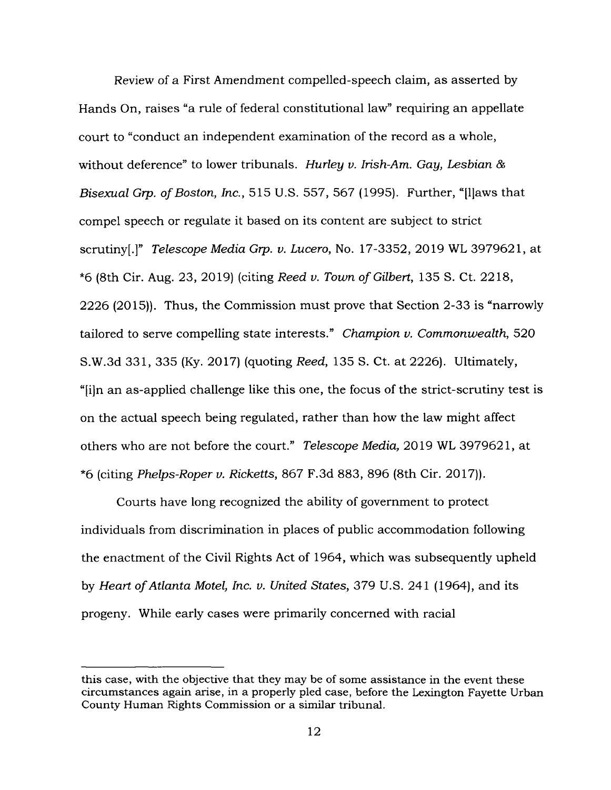Review of a First Amendment compelled-speech claim, as asserted by Hands On, raises "a rule of federal constitutional law" requiring an appellate court to "conduct an independent examination of the record as a whole, without deference" to lower tribunals. *Hurley v. Irish-Am. Gay, Lesbian & Bisexual Grp. ofBoston, Inc.,* 515 U.S. 557, 567 (1995). Further, "[l]aws that compel speech or regulate it based on its content are subject to strict scrutiny[.]" *Telescope Media Grp. v. Lucero,* No. 17-3352, 2019 WL 3979621, at \*6 (8th Cir. Aug. 23, 2019) (citing *Reed v. Town of Gilbert,* 135 S. Ct. 2218, 2226 (2015)). Thus, the Commission must prove that Section 2-33 is "narrowly tailored to serve compelling state interests." *Champion v. Commonwealth,* 520 S.W.3d 331, 335 (Ky. 2017) (quoting *Reed,* 135 S. Ct. at 2226). Ultimately, "[i]n an as-applied challenge like this one, the focus of the strict-scrutiny test is on the actual speech being regulated, rather than how the law might affect others who are not before the court." *Telescope Media,* 2019 WL 3979621, at \*6 (citing *Phelps-Roper v. Ricketts,* 867 F.3d 883, 896 (8th Cir. 2017)).

Courts have long recognized the ability of government to protect individuals from discrimination in places of public accommodation following the enactment of the Civil Rights Act of 1964, which was subsequently upheld by *Heart ofAtlanta Motel, Inc. v. United States, 379* U.S. 241 (1964), and its progeny. While early cases were primarily concerned with racial

this case, with the objective that they may be of some assistance in the event these circumstances again arise, in a properly pled case, before the Lexington Fayette Urban County Human Rights Commission or a similar tribunal.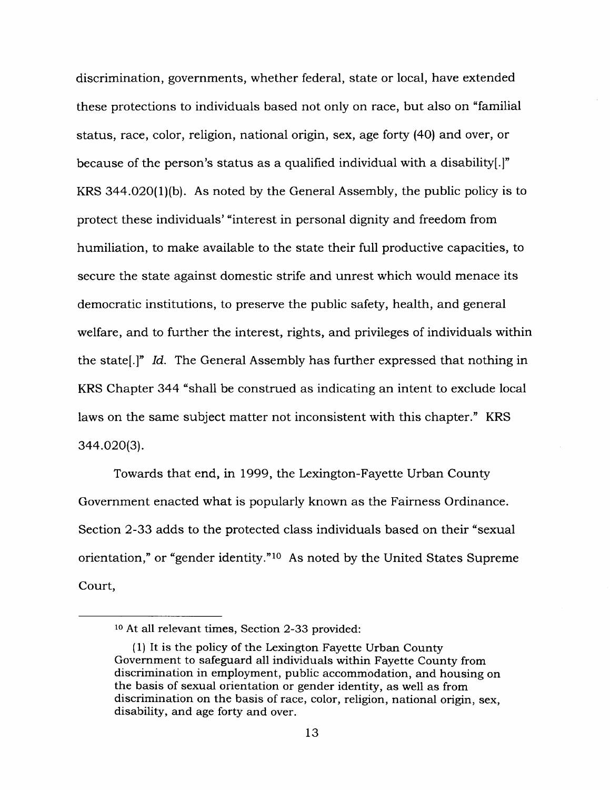discrimination, governments, whether federal, state or local, have extended these protections to individuals based not only on race, but also on "familial status, race, color, religion, national origin, sex, age forty (40) and over, or because of the person's status as a qualified individual with a disability[.]" KRS 344.020(1)(b). As noted by the General Assembly, the public policy is to protect these individuals' "interest in personal dignity and freedom from humiliation, to make available to the state their full productive capacities, to secure the state against domestic strife and unrest which would menace its democratic institutions, to preserve the public safety, health, and general welfare, and to further the interest, rights, and privileges of individuals within the state[.]" *Id.* The General Assembly has further expressed that nothing in KRS Chapter 344 "shall be construed as indicating an intent to exclude local laws on the same subject matter not inconsistent with this chapter." KRS 344.020(3).

Towards that end, in 1999, the Lexington-Fayette Urban County Government enacted what is popularly known as the Fairness Ordinance. Section 2-33 adds to the protected class individuals based on their "sexual orientation," or "gender identity."<sup>10</sup> As noted by the United States Supreme Court,

<sup>10</sup>At all relevant times, Section 2-33 provided:

<sup>(1)</sup> It is the policy of the Lexington Fayette Urban County Government to safeguard all individuals within Fayette County from discrimination in employment, public accommodation, and housing on the basis of sexual orientation or gender identity, as well as from discrimination on the basis of race, color, religion, national origin, sex, disability, and age forty and over.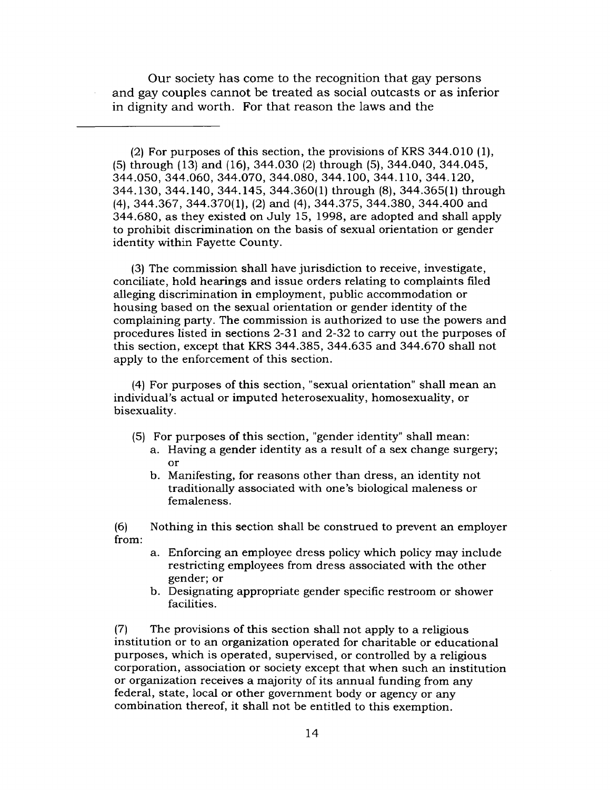Our society has come to the recognition that gay persons and gay couples cannot be treated as social outcasts or as inferior in dignity and worth. For that reason the laws and the

(2) For purposes of this section, the provisions of KRS 344.010 (1), (5) through (13) and (16), 344.030 (2) through (5), 344.040, 344.045, 344.050, 344.060, 344.070, 344.080, 344.100, 344.110, 344.120, 344.130, 344.140, 344.145, 344.360(1) through (8), 344.365(1) through (4), 344.367, 344.370(1), (2) and (4), 344.375, 344.380, 344.400 and 344.680, as they existed on July 15, 1998, are adopted and shall apply to prohibit discrimination on the basis of sexual orientation or gender identity within Fayette County.

(3) The commission shall have jurisdiction to receive, investigate, conciliate, hold hearings and issue orders relating to complaints filed alleging discrimination in employment, public accommodation or housing based on the sexual orientation or gender identity of the complaining party. The commission is authorized to use the powers and procedures listed in sections 2-31 and 2-32 to carry out the purposes of this section, except that KRS 344.385, 344.635 and 344.670 shall not apply to the enforcement of this section.

(4) For purposes of this section, "sexual orientation" shall mean an individual's actual or imputed heterosexuality, homosexuality, or bisexuality.

- (5) For purposes of this section, "gender identity" shall mean:
	- a. Having a gender identity as a result of a sex change surgery; or
	- b. Manifesting, for reasons other than dress, an identity not traditionally associated with one's biological maleness or femaleness.

(6) Nothing in this section shall be construed to prevent an employer from:

- a. Enforcing an employee dress policy which policy may include restricting employees from dress associated with the other gender; or
- b. Designating appropriate gender specific restroom or shower facilities.

(7) The provisions of this section shall not apply to a religious institution or to an organization operated for charitable or educational purposes, which is operated, supervised, or controlled by a religious corporation, association or society except that when such an institution or organization receives a majority of its annual funding from any federal, state, local or other government body or agency or any combination thereof, it shall not be entitled to this exemption.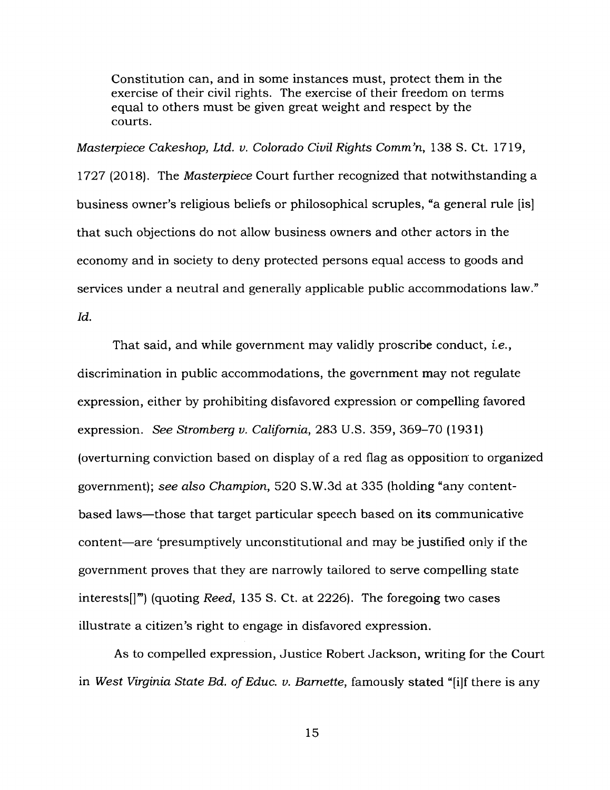Constitution can, and in some instances must, protect them in the exercise of their civil rights. The exercise of their freedom on terms equal to others must be given great weight and respect by the courts.

*Masterpiece Cakeshop, Ltd. v. Colorado Civil Rights Comm'n,* 138 S. Ct. 1719, 1727 (2018). The *Masterpiece* Court further recognized that notwithstanding a business owner's religious beliefs or philosophical scruples, "a general rule [is] that such objections do not allow business owners and other actors in the economy and in society to deny protected persons equal access to goods and services under a neutral and generally applicable public accommodations law." *Id.*

That said, and while government may validly proscribe conduct, *i.e.,* discrimination in public accommodations, the government may not regulate expression, either by prohibiting disfavored expression or compelling favored expression. *See Stromberg v. California,* 283 U.S. 359, 369-70 (1931) (overturning conviction based on display of a red flag as opposition to organized government); *see also Champion,* 520 S.W.3d at 335 (holding "any contentbased laws—those that target particular speech based on its communicative content—are 'presumptively unconstitutional and may be justified only if the government proves that they are narrowly tailored to serve compelling state interests[]'") (quoting *Reed,* 135 S. Ct. at 2226). The foregoing two cases illustrate a citizen's right to engage in disfavored expression.

As to compelled expression, Justice Robert Jackson, writing for the Court in *West Virginia State Bd. of Educ. v. Barnette,* famously stated "[i]f there is any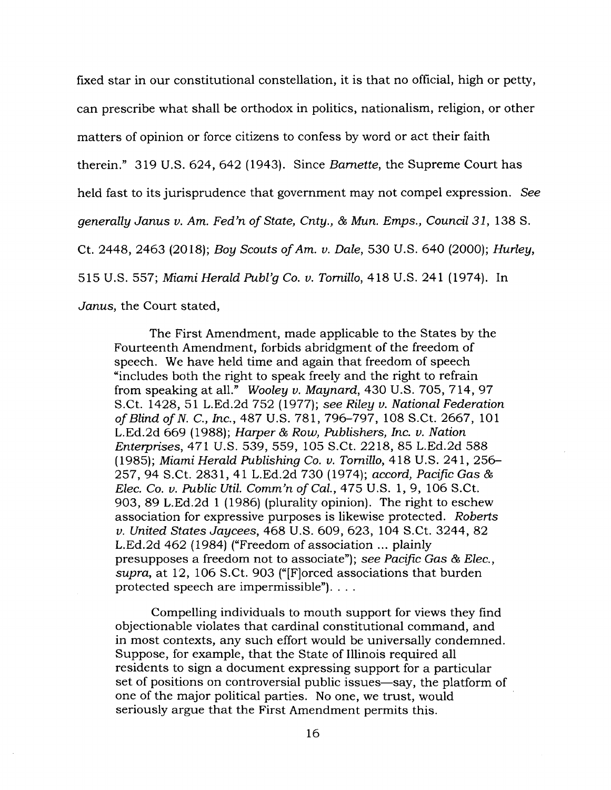fixed star in our constitutional constellation, it is that no official, high or petty, can prescribe what shall be orthodox in politics, nationalism, religion, or other matters of opinion or force citizens to confess by word or act their faith therein." 319 U.S. 624, 642 (1943). Since *Barnette,* the Supreme Court has held fast to its jurisprudence that government may not compel expression. *See generally Janus v. Am. Fed'n of State, Cnty., & Mun. Emps., Council 31,* 138 S. Ct. 2448, 2463 (2018); *Boy Scouts ofAm. v. Dale,* 530 U.S. 640 (2000); *Hurley,* 515 U.S. 557; *Miami Herald Publ'g Co. v. Tornillo,* 418 U.S. 241 (1974). In *Janus,* the Court stated,

The First Amendment, made applicable to the States by the Fourteenth Amendment, forbids abridgment of the freedom of speech. We have held time and again that freedom of speech "includes both the right to speak freely and the right to refrain from speaking at all." *Wooley v. Maynard,* 430 U.S. 705, 714, 97 S.Ct. 1428, 51 L.Ed.2d 752 (1977); *see Riley v. National Federation ofBlind ofN. C., Inc.,* 487 U.S. 781, 796-797, 108 S.Ct. 2667, 101 L.Ed.2d 669 (1988); *Harper & Row, Publishers, Inc. v. Nation Enterprises,* 471 U.S. 539, 559, 105 S.Ct. 2218, 85 L.Ed.2d 588 (1985); *Miami Herald Publishing Co. v. Tornillo,* 418 U.S. 241, 256- 257, 94 S.Ct. 2831, 41 L.Ed.2d 730 (1974); *accord, Pacific Gas & Elec. Co. v. Public Util. Comm'n of Cal.,* 475 U.S. 1, 9, 106 S.Ct. 903, 89 L.Ed.2d <sup>1</sup> (1986) (plurality opinion). The right to eschew association for expressive purposes is likewise protected. *Roberts v. United States Jaycees,* 468 U.S. 609, 623, 104 S.Ct. 3244, 82 L.Ed.2d 462 (1984) ("Freedom of association ... plainly presupposes a freedom not to associate"); *see Pacific Gas & Elec., supra,* at 12, 106 S.Ct. 903 ("[F]orced associations that burden protected speech are impermissible"). . . .

Compelling individuals to mouth support for views they find objectionable violates that cardinal constitutional command, and in most contexts, any such effort would be universally condemned. Suppose, for example, that the State of Illinois required all residents to sign a document expressing support for a particular set of positions on controversial public issues—say, the platform of one of the major political parties. No one, we trust, would seriously argue that the First Amendment permits this.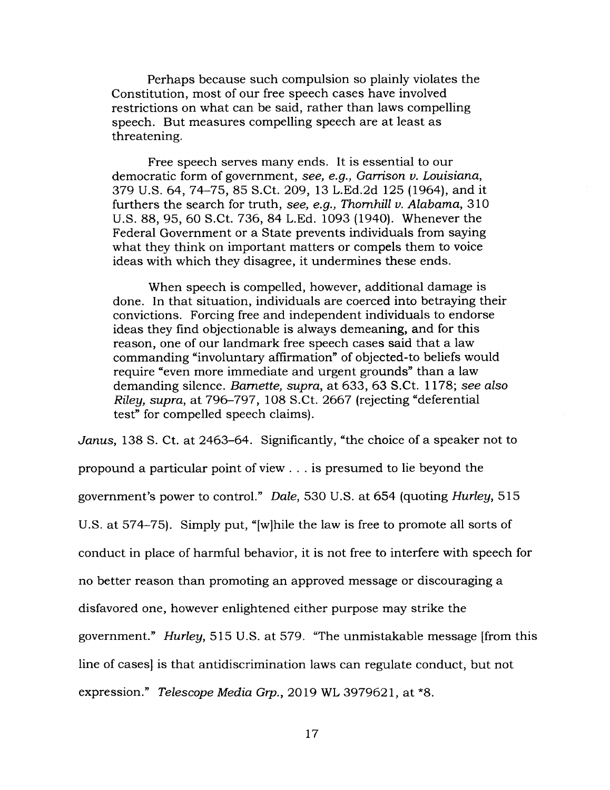Perhaps because such compulsion so plainly violates the Constitution, most of our free speech cases have involved restrictions on what can be said, rather than laws compelling speech. But measures compelling speech are at least as threatening.

Free speech serves many ends. It is essential to our democratic form of government, *see, e.g., Garrison v. Louisiana,* 379 U.S. 64, 74-75, 85 S.Ct. 209, 13 L.Ed.2d 125 (1964), and it furthers the search for truth, *see, e.g., Thornhill v. Alabama,* 310 U.S. 88, 95, 60 S.Ct. 736, 84 L.Ed. 1093 (1940). Whenever the Federal Government or a State prevents individuals from saying what they think on important matters or compels them to voice ideas with which they disagree, it undermines these ends.

When speech is compelled, however, additional damage is done. In that situation, individuals are coerced into betraying their convictions. Forcing free and independent individuals to endorse ideas they find objectionable is always demeaning, and for this reason, one of our landmark free speech cases said that a law commanding "involuntary affirmation" of objected-to beliefs would require "even more immediate and urgent grounds" than a law demanding silence. *Barnette, supra,* at 633, 63 S.Ct. 1178; *see also Riley, supra,* at 796-797, 108 S.Ct. 2667 (rejecting "deferential test" for compelled speech claims).

*Janus,* 138 S. Ct. at 2463-64. Significantly, "the choice of a speaker not to propound <sup>a</sup> particular point of view ... is presumed to lie beyond the government's power to control." *Dale,* 530 U.S. at 654 (quoting *Hurley,* 515 U.S. at 574-75). Simply put, "[w]hile the law is free to promote all sorts of conduct in place of harmful behavior, it is not free to interfere with speech for no better reason than promoting an approved message or discouraging a disfavored one, however enlightened either purpose may strike the government." *Hurley,* 515 U.S. at 579. "The unmistakable message [from this line of cases] is that antidiscrimination laws can regulate conduct, but not expression." *Telescope Media Grp.,* 2019 WL 3979621, at \*8.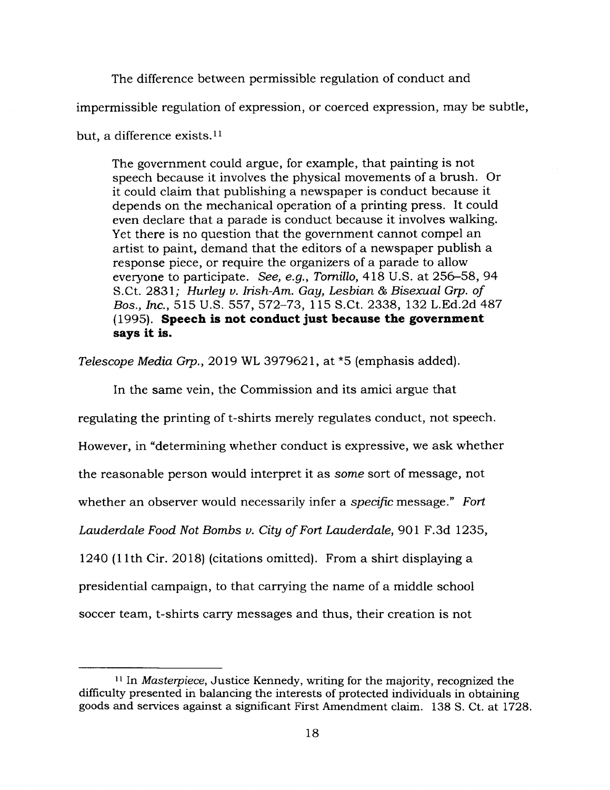The difference between permissible regulation of conduct and

impermissible regulation of expression, or coerced expression, may be subtle,

but, a difference exists.<sup>11</sup>

The government could argue, for example, that painting is not speech because it involves the physical movements of a brush. Or it could claim that publishing a newspaper is conduct because it depends on the mechanical operation of a printing press. It could even declare that a parade is conduct because it involves walking. Yet there is no question that the government cannot compel an artist to paint, demand that the editors of a newspaper publish a response piece, or require the organizers of a parade to allow everyone to participate. *See, e.g., Tornillo,* 418 U.S. at 256-58, 94 S.Ct. 2831; *Hurley v. Irish-Am. Gay, Lesbian & Bisexual Grp. of Bos., Inc.,* 515 U.S. 557, 572-73, 115 S.Ct. 2338, 132 L.Ed.2d 487 (1995). **Speech is not conduct just because the government says it is.**

*Telescope Media Grp.,* 2019 WL 3979621, at \*5 (emphasis added).

In the same vein, the Commission and its amici argue that

regulating the printing of t-shirts merely regulates conduct, not speech.

However, in "determining whether conduct is expressive, we ask whether

the reasonable person would interpret it as *some* sort of message, not

whether an observer would necessarily infer a *specific* message." *Fort*

*Lauderdale Food Not Bombs v. City ofFort Lauderdale,* 901 F.3d 1235,

1240 (11th Cir. 2018) (citations omitted). From a shirt displaying a

presidential campaign, to that carrying the name of a middle school

soccer team, t-shirts carry messages and thus, their creation is not

<sup>11</sup> In *Masterpiece,* Justice Kennedy, writing for the majority, recognized the difficulty presented in balancing the interests of protected individuals in obtaining goods and services against a significant First Amendment claim. 138 S. Ct. at 1728.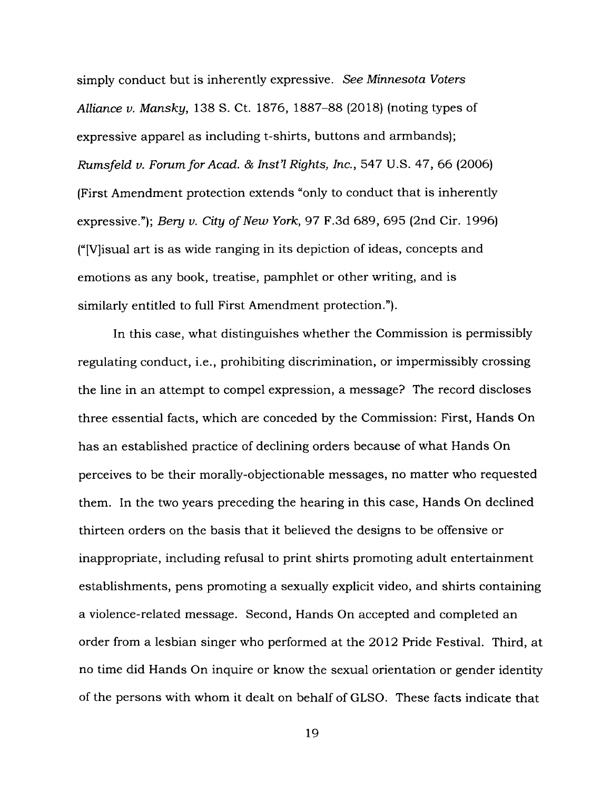simply conduct but is inherently expressive. *See Minnesota Voters Alliance v. Mansky,* 138 S. Ct. 1876, 1887-88 (2018) (noting types of expressive apparel as including t-shirts, buttons and armbands); *Rumsfeld v. Forumfor Acad. & Inst'l Rights, Inc.,* 547 U.S. 47, 66 (2006) (First Amendment protection extends "only to conduct that is inherently expressive."); *Bery v. City ofNew York,* 97 F.3d 689, 695 (2nd Cir. 1996) ("[V]isual art is as wide ranging in its depiction of ideas, concepts and emotions as any book, treatise, pamphlet or other writing, and is similarly entitled to full First Amendment protection.").

In this case, what distinguishes whether the Commission is permissibly regulating conduct, i.e., prohibiting discrimination, or impermissibly crossing the line in an attempt to compel expression, a message? The record discloses three essential facts, which are conceded by the Commission: First, Hands On has an established practice of declining orders because of what Hands On perceives to be their morally-objectionable messages, no matter who requested them. In the two years preceding the hearing in this case, Hands On declined thirteen orders on the basis that it believed the designs to be offensive or inappropriate, including refusal to print shirts promoting adult entertainment establishments, pens promoting a sexually explicit video, and shirts containing a violence-related message. Second, Hands On accepted and completed an order from a lesbian singer who performed at the 2012 Pride Festival. Third, at no time did Hands On inquire or know the sexual orientation or gender identity of the persons with whom it dealt on behalf of GLSO. These facts indicate that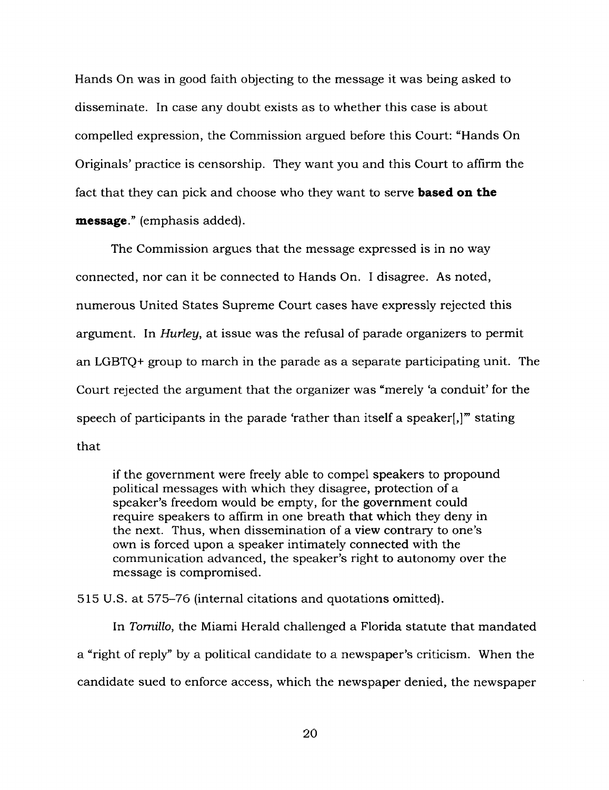Hands On was in good faith objecting to the message it was being asked to disseminate. In case any doubt exists as to whether this case is about compelled expression, the Commission argued before this Court: "Hands On Originals' practice is censorship. They want you and this Court to affirm the fact that they can pick and choose who they want to serve **based on the message."** (emphasis added).

The Commission argues that the message expressed is in no way connected, nor can it be connected to Hands On. I disagree. As noted, numerous United States Supreme Court cases have expressly rejected this argument. In *Hurley,* at issue was the refusal of parade organizers to permit an LGBTQ+ group to march in the parade as a separate participating unit. The Court rejected the argument that the organizer was "merely 'a conduit' for the speech of participants in the parade 'rather than itself a speaker.],<sup>"</sup> stating that

if the government were freely able to compel speakers to propound political messages with which they disagree, protection of a speaker's freedom would be empty, for the government could require speakers to affirm in one breath that which they deny in the next. Thus, when dissemination of a view contrary to one's own is forced upon a speaker intimately connected with the communication advanced, the speaker's right to autonomy over the message is compromised.

515 U.S. at 575-76 (internal citations and quotations omitted).

In *Tornillo,* the Miami Herald challenged a Florida statute that mandated a "right of reply" by a political candidate to a newspaper's criticism. When the candidate sued to enforce access, which the newspaper denied, the newspaper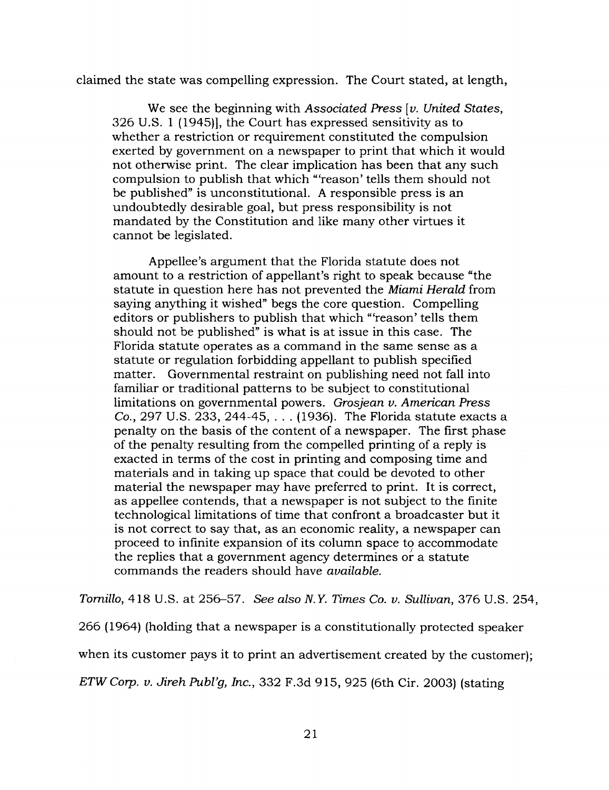claimed the state was compelling expression. The Court stated, at length,

We see the beginning with *Associated Press* [v. *United States,* 326 U.S. <sup>1</sup> (1945)], the Court has expressed sensitivity as to whether a restriction or requirement constituted the compulsion exerted by government on a newspaper to print that which it would not otherwise print. The clear implication has been that any such compulsion to publish that which "'reason' tells them should not be published" is unconstitutional. A responsible press is an undoubtedly desirable goal, but press responsibility is not mandated by the Constitution and like many other virtues it cannot be legislated.

Appellee's argument that the Florida statute does not amount to a restriction of appellant's right to speak because "the statute in question here has not prevented the *Miami Herald* from saying anything it wished" begs the core question. Compelling editors or publishers to publish that which "'reason' tells them should not be published" is what is at issue in this case. The Florida statute operates as a command in the same sense as a statute or regulation forbidding appellant to publish specified matter. Governmental restraint on publishing need not fall into familiar or traditional patterns to be subject to constitutional limitations on governmental powers. *Grosjean v. American Press Co.,* 297 U.S. 233, 244-45, . . . (1936). The Florida statute exacts a penalty on the basis of the content of a newspaper. The first phase of the penalty resulting from the compelled printing of a reply is exacted in terms of the cost in printing and composing time and materials and in taking up space that could be devoted to other material the newspaper may have preferred to print. It is correct, as appellee contends, that a newspaper is not subject to the finite technological limitations of time that confront a broadcaster but it is not correct to say that, as an economic reality, a newspaper can proceed to infinite expansion of its column space to accommodate the replies that a government agency determines or a statute commands the readers should have *available.*

*Tornillo,* 418 U.S. at 256-57. See *also N.Y. Times Co. v. Sullivan,* 376 U.S. 254, 266 (1964) (holding that a newspaper is a constitutionally protected speaker when its customer pays it to print an advertisement created by the customer); *ETW Corp. v. Jireh Publ'g, Inc.,* 332 F.3d 915, 925 (6th Cir. 2003) (stating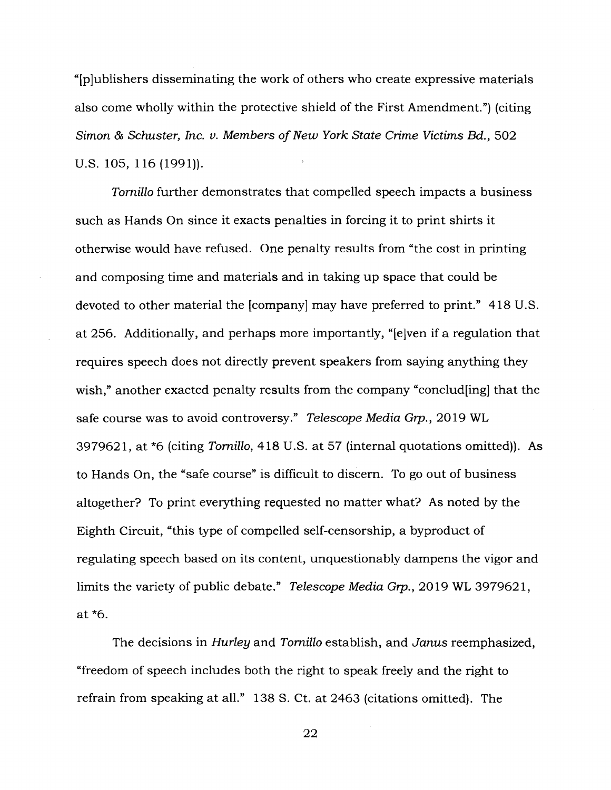"[p]ublishers disseminating the work of others who create expressive materials also come wholly within the protective shield of the First Amendment.") (citing *Simon & Schuster, Inc. v. Members ofNew York State Crime Victims Bd.,* 502 U.S. 105, 116 (1991)).

*Tornillo* further demonstrates that compelled speech impacts a business such as Hands On since it exacts penalties in forcing it to print shirts it otherwise would have refused. One penalty results from "the cost in printing and composing time and materials and in taking up space that could be devoted to other material the [company] may have preferred to print." 418 U.S. at 256. Additionally, and perhaps more importantly, "[e]ven if a regulation that requires speech does not directly prevent speakers from saying anything they wish," another exacted penalty results from the company "conclud [ing] that the safe course was to avoid controversy." *Telescope Media Grp.,* 2019 WL 3979621, at \*6 (citing *Tornillo,* 418 U.S. at 57 (internal quotations omitted)). As to Hands On, the "safe course" is difficult to discern. To go out of business altogether? To print everything requested no matter what? As noted by the Eighth Circuit, "this type of compelled self-censorship, a byproduct of regulating speech based on its content, unquestionably dampens the vigor and limits the variety of public debate." *Telescope Media Grp.,* 2019 WL 3979621, at \*6.

The decisions in *Hurley* and *Tornillo* establish, and *Janus* reemphasized, "freedom of speech includes both the right to speak freely and the right to refrain from speaking at all." 138 S. Ct. at 2463 (citations omitted). The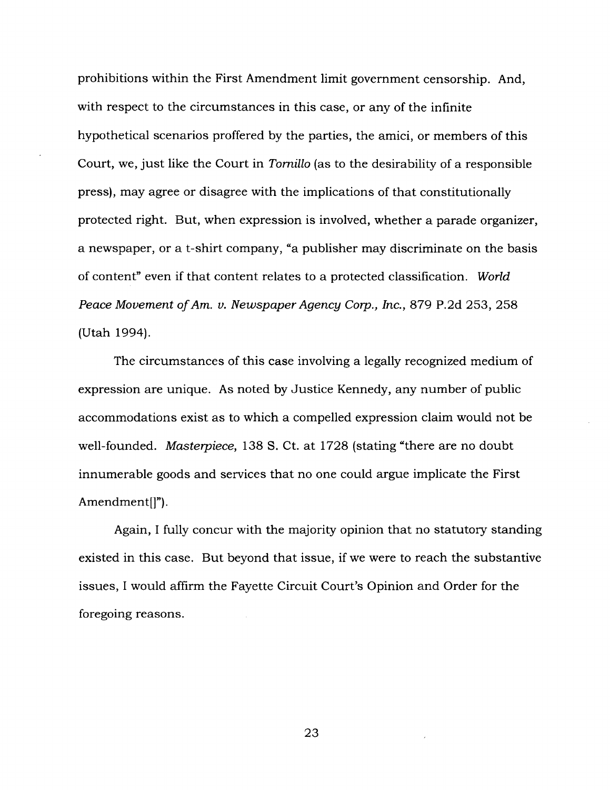prohibitions within the First Amendment limit government censorship. And, with respect to the circumstances in this case, or any of the infinite hypothetical scenarios proffered by the parties, the amici, or members of this Court, we, just like the Court in *Tornillo* (as to the desirability of a responsible press), may agree or disagree with the implications of that constitutionally protected right. But, when expression is involved, whether a parade organizer, a newspaper, or a t-shirt company, "a publisher may discriminate on the basis of content" even if that content relates to a protected classification. *World Peace Movement ofAm. v. NewspaperAgency Corp., Inc.,* 879 P.2d 253, 258 (Utah 1994).

The circumstances of this case involving a legally recognized medium of expression are unique. As noted by Justice Kennedy, any number of public accommodations exist as to which a compelled expression claim would not be well-founded. *Masterpiece,* 138 S. Ct. at 1728 (stating "there are no doubt innumerable goods and services that no one could argue implicate the First Amendment<sup>[]</sup>").

Again, I fully concur with the majority opinion that no statutory standing existed in this case. But beyond that issue, if we were to reach the substantive issues, I would affirm the Fayette Circuit Court's Opinion and Order for the foregoing reasons.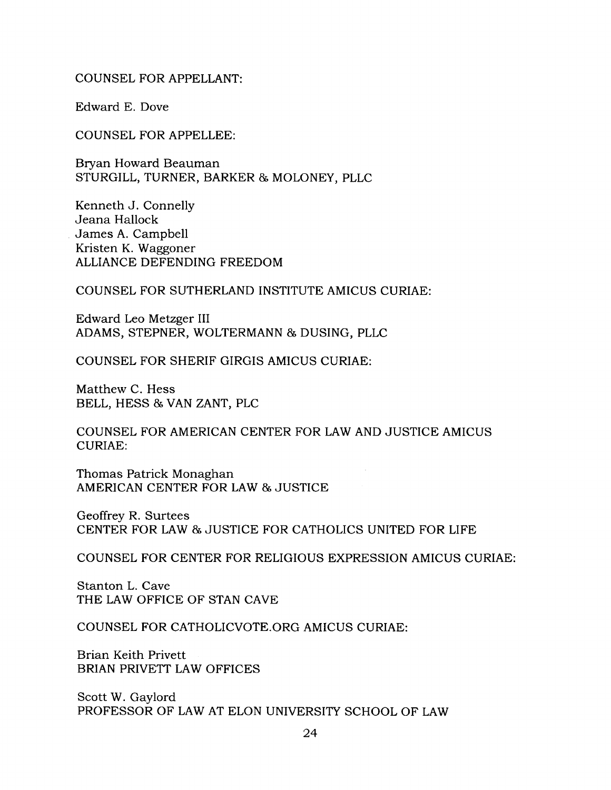## COUNSEL FOR APPELLANT:

Edward E. Dove

COUNSEL FOR APPELLEE:

Bryan Howard Beauman STURGILL, TURNER, BARKER & MOLONEY, PLLC

Kenneth J. Connelly Jeana Hallock James A. Campbell Kristen K. Waggoner ALLIANCE DEFENDING FREEDOM

COUNSEL FOR SUTHERLAND INSTITUTE AMICUS CURIAE:

Edward Leo Metzger III ADAMS, STEPNER, WOLTERMANN & DUSING, PLLC

COUNSEL FOR SHERIF GIRGIS AMICUS CURIAE:

Matthew C. Hess BELL, HESS & VAN ZANT, PLC

COUNSEL FOR AMERICAN CENTER FOR LAW AND JUSTICE AMICUS CURIAE:

Thomas Patrick Monaghan AMERICAN CENTER FOR LAW & JUSTICE

Geoffrey R. Surtees CENTER FOR LAW & JUSTICE FOR CATHOLICS UNITED FOR LIFE

COUNSEL FOR CENTER FOR RELIGIOUS EXPRESSION AMICUS CURIAE:

Stanton L. Cave THE LAW OFFICE OF STAN CAVE

COUNSEL FOR <CATHOLICVOTE.ORG> AMICUS CURIAE:

Brian Keith Privett BRIAN PRIVETT LAW OFFICES

Scott W. Gaylord PROFESSOR OF LAW AT ELON UNIVERSITY SCHOOL OF LAW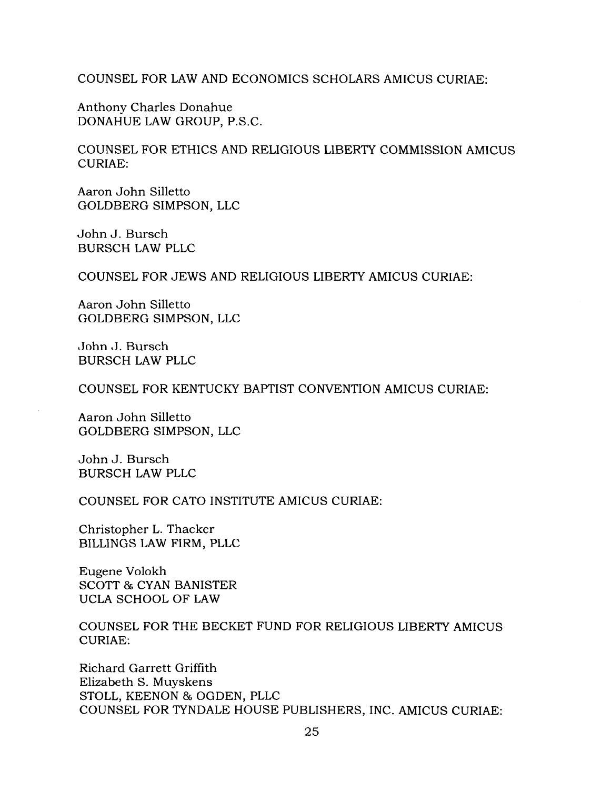COUNSEL FOR LAW AND ECONOMICS SCHOLARS AMICUS CURIAE:

Anthony Charles Donahue DONAHUE LAW GROUP, P.S.C.

COUNSEL FOR ETHICS AND RELIGIOUS LIBERTY COMMISSION AMICUS CURIAE:

Aaron John Silletto GOLDBERG SIMPSON, LLC

John J. Bursch BURSCH LAW PLLC

COUNSEL FOR JEWS AND RELIGIOUS LIBERTY AMICUS CURIAE:

Aaron John Silletto GOLDBERG SIMPSON, LLC

John J. Bursch BURSCH LAW PLLC

COUNSEL FOR KENTUCKY BAPTIST CONVENTION AMICUS CURIAE:

Aaron John Silletto GOLDBERG SIMPSON, LLC

John J. Bursch BURSCH LAW PLLC

COUNSEL FOR CATO INSTITUTE AMICUS CURIAE:

Christopher L. Thacker BILLINGS LAW FIRM, PLLC

Eugene Volokh SCOTT & CYAN BANISTER UCLA SCHOOL OF LAW

COUNSEL FOR THE BECKET FUND FOR RELIGIOUS LIBERTY AMICUS CURIAE:

Richard Garrett Griffith Elizabeth S. Muyskens STOLL, KEENON & OGDEN, PLLC COUNSEL FOR TYNDALE HOUSE PUBLISHERS, INC. AMICUS CURIAE: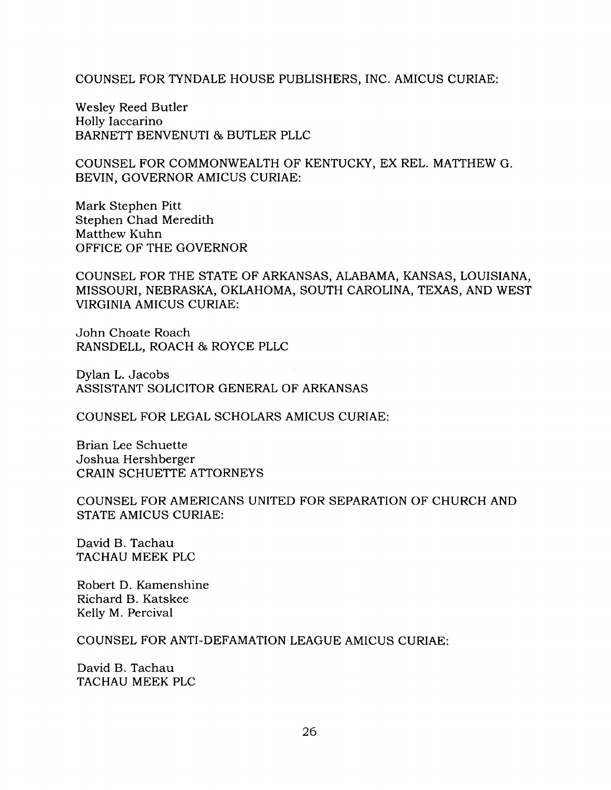COUNSEL FOR TYNDALE HOUSE PUBLISHERS, INC. AMICUS CURIAE:

Wesley Reed Butler Holly Iaccarino BARNETT BENVENUTI & BUTLER PLLC

COUNSEL FOR COMMONWEALTH OF KENTUCKY, EX REL. MATTHEW G. BEVIN, GOVERNOR AMICUS CURIAE:

Mark Stephen Pitt Stephen Chad Meredith Matthew Kuhn OFFICE OF THE GOVERNOR

COUNSEL FOR THE STATE OF ARKANSAS, ALABAMA, KANSAS, LOUISIANA, MISSOURI, NEBRASKA, OKLAHOMA, SOUTH CAROLINA, TEXAS, AND WEST VIRGINIA AMICUS CURIAE:

John Choate Roach RANSDELL, ROACH & ROYCE PLLC

Dylan L. Jacobs ASSISTANT SOLICITOR GENERAL OF ARKANSAS

COUNSEL FOR LEGAL SCHOLARS AMICUS CURIAE:

Brian Lee Schuette Joshua Hershberger CRAIN SCHUETTE ATTORNEYS

COUNSEL FOR AMERICANS UNITED FOR SEPARATION OF CHURCH AND STATE AMICUS CURIAE:

David B. Tachau TACHAU MEEK PLC

Robert D. Kamenshine Richard B. Katskee Kelly M. Percival

COUNSEL FOR ANTI-DEFAMATION LEAGUE AMICUS CURIAE:

David B. Tachau TACHAU MEEK PLC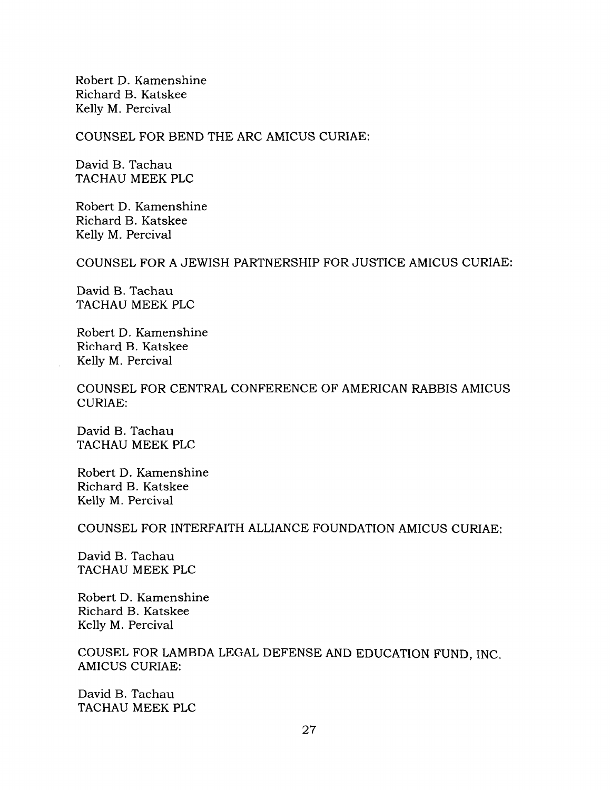Robert D. Kamenshine Richard B. Katskee Kelly M. Percival

COUNSEL FOR BEND THE ARC AMICUS CURIAE:

David B. Tachau TACHAU MEEK PLC

Robert D. Kamenshine Richard B. Katskee Kelly M. Percival

COUNSEL FOR A JEWISH PARTNERSHIP FOR JUSTICE AMICUS CURIAE:

David B. Tachau TACHAU MEEK PLC

Robert D. Kamenshine Richard B. Katskee Kelly M. Percival

COUNSEL FOR CENTRAL CONFERENCE OF AMERICAN RABBIS AMICUS CURIAE:

David B. Tachau TACHAU MEEK PLC

Robert D. Kamenshine Richard B. Katskee Kelly M. Percival

COUNSEL FOR INTERFAITH ALLIANCE FOUNDATION AMICUS CURIAE:

David B. Tachau TACHAU MEEK PLC

Robert D. Kamenshine Richard B. Katskee Kelly M. Percival

COUSEL FOR LAMBDA LEGAL DEFENSE AND EDUCATION FUND, INC. AMICUS CURIAE:

David B. Tachau TACHAU MEEK PLC